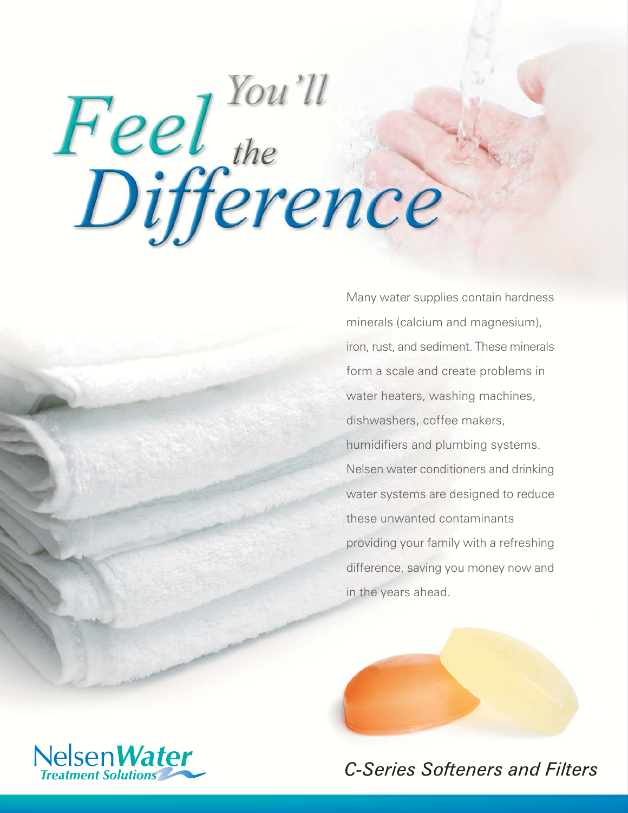# Feel the prence

Many water supplies contain hardness minerals (calcium and magnesium), iron, rust, and sediment. These minerals form a scale and create problems in water heaters, washing machines, dishwashers, coffee makers. humidifiers and plumbing systems. Nelsen water conditioners and drinking water systems are designed to reduce these unwanted contaminants providing your family with a refreshing difference, saving you money now and in the years ahead.



**C-Series Softeners and Filters** 

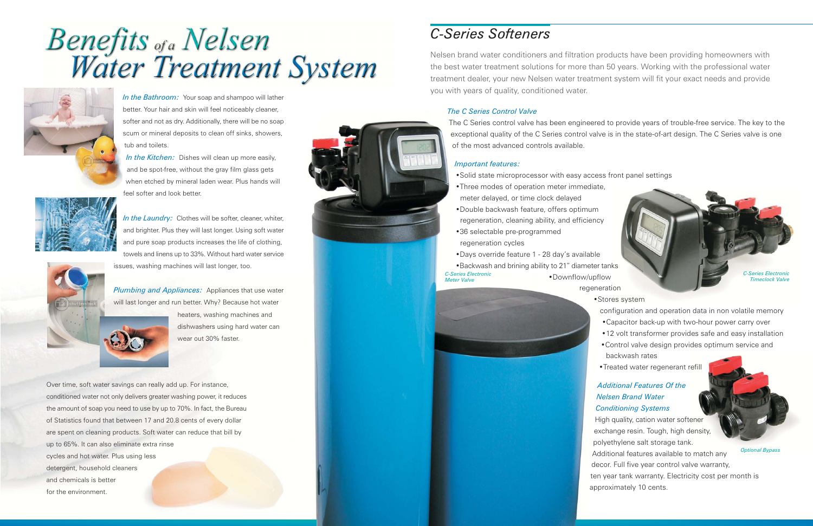# Benefits <sub>of a</sub> Nelsen<br>Water Treatment System



In the Bathroom: Your soap and shampoo will lather better. Your hair and skin will feel noticeably cleaner, softer and not as dry. Additionally, there will be no soap scum or mineral deposits to clean off sinks, showers, tub and toilets.

In the Kitchen: Dishes will clean up more easily, and be spot-free, without the gray film glass gets when etched by mineral laden wear. Plus hands will feel softer and look better.



In the Laundry: Clothes will be softer, cleaner, whiter, and brighter. Plus they will last longer. Using soft water and pure soap products increases the life of clothing, towels and linens up to 33%. Without hard water service issues, washing machines will last longer, too.

**Plumbing and Appliances:** Appliances that use water will last longer and run better. Why? Because hot water



heaters, washing machines and dishwashers using hard water can wear out 30% faster.

Over time, soft water savings can really add up. For instance, conditioned water not only delivers greater washing power, it reduces the amount of soap you need to use by up to 70%. In fact, the Bureau of Statistics found that between 17 and 20.8 cents of every dollar are spent on cleaning products. Soft water can reduce that bill by up to 65%. It can also eliminate extra rinse cycles and hot water. Plus using less detergent, household cleaners and chemicals is better for the environment.



# **C-Series Softeners**

Nelsen brand water conditioners and filtration products have been providing homeowners with the best water treatment solutions for more than 50 years. Working with the professional water treatment dealer, your new Nelsen water treatment system will fit your exact needs and provide you with years of quality, conditioned water.

### The C Series Control Valve

The C Series control valve has been engineered to provide years of trouble-free service. The key to the exceptional quality of the C Series control valve is in the state-of-art design. The C Series valve is one of the most advanced controls available.

### **Important features:**

- Solid state microprocessor with easy access front panel settings
- Three modes of operation meter immediate, meter delayed, or time clock delayed
- •Double backwash feature, offers optimum regeneration, cleaning ability, and efficiency
- •36 selectable pre-programmed regeneration cycles

• Days override feature 1 - 28 day's available

• Backwash and brining ability to 21" diameter tanks C-Series Electronic • Downflow/upflow **Meter Valve** 

**Conditioning Systems** High quality, cation water softener exchange resin. Tough, high density polyethylene salt storage tank. **Optional Bypass** Additional features available to match any decor. Full five year control valve warranty, ten year tank warranty. Electricity cost per month is approximately 10 cents.

regeneration

• Stores system

configuration and operation data in non volatile memory

- Capacitor back-up with two-hour power carry over
- •12 volt transformer provides safe and easy installation
- Control valve design provides optimum service and backwash rates

• Treated water regenerant refill

## **Additional Features Of the Nelsen Brand Water**